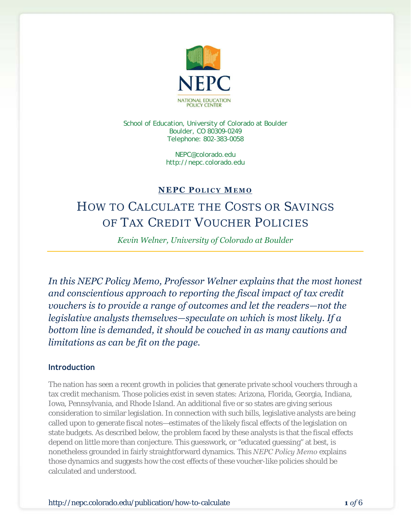

School of Education, University of Colorado at Boulder Boulder, CO 80309-0249 Telephone: 802-383-0058

> NEPC@colorado.edu http://nepc.colorado.edu

## **NEPC P OLICY MEMO**

# HOW TO CALCULATE THE COSTS OR SAVINGS OF TAX CREDIT VOUCHER POLICIES

*Kevin Welner, University of Colorado at Boulder*

*In this NEPC Policy Memo, Professor Welner explains that the most honest and conscientious approach to reporting the fiscal impact of tax credit vouchers is to provide a range of outcomes and let the readers—not the legislative analysts themselves—speculate on which is most likely. If a bottom line is demanded, it should be couched in as many cautions and limitations as can be fit on the page.* 

#### **Introduction**

The nation has seen a recent growth in policies that generate private school vouchers through a tax credit mechanism. Those policies exist in seven states: Arizona, Florida, Georgia, Indiana, Iowa, Pennsylvania, and Rhode Island. An additional five or so states are giving serious consideration to similar legislation. In connection with such bills, legislative analysts are being called upon to generate fiscal notes—estimates of the likely fiscal effects of the legislation on state budgets. As described below, the problem faced by these analysts is that the fiscal effects depend on little more than conjecture. This guesswork, or "educated guessing" at best, is nonetheless grounded in fairly straightforward dynamics. This *NEPC Policy Memo* explains those dynamics and suggests how the cost effects of these voucher-like policies should be calculated and understood.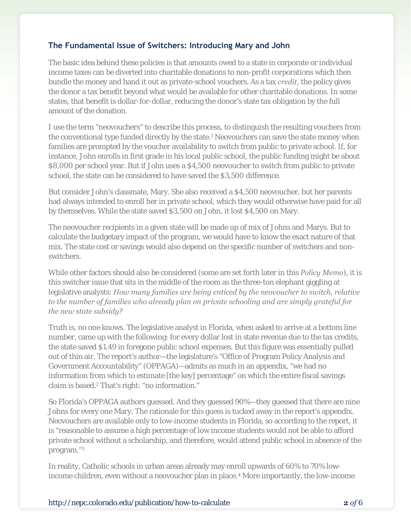#### **The Fundamental Issue of Switchers: Introducing Mary and John**

The basic idea behind these policies is that amounts owed to a state in corporate or individual income taxes can be diverted into charitable donations to non-profit corporations which then bundle the money and hand it out as private-school vouchers. As a tax *credit*, the policy gives the donor a tax benefit beyond what would be available for other charitable donations. In some states, that benefit is dollar-for-dollar, reducing the donor's state tax obligation by the full amount of the donation.

I use the term "neovouchers" to describe this process, to distinguish the resulting vouchers from the conventional type funded directly by the state.<sup>1</sup> Neovouchers can save the state money when families are prompted by the voucher availability to switch from public to private school. If, for instance, John enrolls in first grade in his local public school, the public funding might be about \$8,000 per school year. But if John uses a \$4,500 neovoucher to switch from public to private school, the state can be considered to have saved the \$3,500 difference.

But consider John's classmate, Mary. She also received a \$4,500 neovoucher, but her parents had always intended to enroll her in private school, which they would otherwise have paid for all by themselves. While the state saved \$3,500 on John, it lost \$4,500 on Mary.

The neovoucher recipients in a given state will be made up of mix of Johns and Marys. But to calculate the budgetary impact of the program, we would have to know the exact nature of that mix. The state cost or savings would also depend on the specific number of switchers and nonswitchers.

While other factors should also be considered (some are set forth later in this *Policy Memo*), it is this switcher issue that sits in the middle of the room as the three-ton elephant giggling at legislative analysts: *How many families are being enticed by the neovoucher to switch, relative to the number of families who already plan on private schooling and are simply grateful for the new state subsidy?* 

Truth is, no one knows. The legislative analyst in Florida, when asked to arrive at a bottom line number, came up with the following: for every dollar lost in state revenue due to the tax credits, the state saved \$1.49 in foregone public school expenses. But this figure was essentially pulled out of thin air. The report's author—the legislature's "Office of Program Policy Analysis and Government Accountability" (OPPAGA)—admits as much in an appendix, "we had no information from which to estimate [the key] percentage" on which the entire fiscal savings claim is based.2 That's right: "no information."

So Florida's OPPAGA authors guessed. And they guessed 90%—they guessed that there are nine Johns for every one Mary. The rationale for this guess is tucked away in the report's appendix. Neovouchers are available only to low-income students in Florida, so according to the report, it is "reasonable to assume a high percentage of low income students would not be able to afford private school without a scholarship, and therefore, would attend public school in absence of the program."3

In reality, Catholic schools in urban areas already may enroll upwards of 60% to 70% lowincome children, even without a neovoucher plan in place.<sup>4</sup> More importantly, the low-income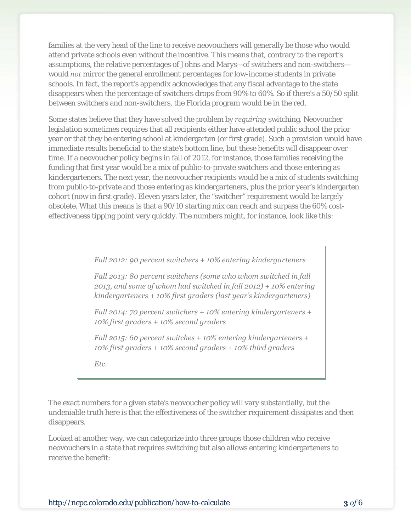families at the very head of the line to receive neovouchers will generally be those who would attend private schools even without the incentive. This means that, contrary to the report's assumptions, the relative percentages of Johns and Marys—of switchers and non-switchers would *not* mirror the general enrollment percentages for low-income students in private schools. In fact, the report's appendix acknowledges that any fiscal advantage to the state disappears when the percentage of switchers drops from 90% to 60%. So if there's a 50/50 split between switchers and non-switchers, the Florida program would be in the red.

Some states believe that they have solved the problem by *requiring* switching. Neovoucher legislation sometimes requires that all recipients either have attended public school the prior year or that they be entering school at kindergarten (or first grade). Such a provision would have immediate results beneficial to the state's bottom line, but these benefits will disappear over time. If a neovoucher policy begins in fall of 2012, for instance, those families receiving the funding that first year would be a mix of public-to-private switchers and those entering as kindergarteners. The next year, the neovoucher recipients would be a mix of students switching from public-to-private and those entering as kindergarteners, plus the prior year's kindergarten cohort (now in first grade). Eleven years later, the "switcher" requirement would be largely obsolete. What this means is that a 90/10 starting mix can reach and surpass the 60% costeffectiveness tipping point very quickly. The numbers might, for instance, look like this:

*Fall 2012: 90 percent switchers + 10% entering kindergarteners* 

*Fall 2013: 80 percent switchers (some who whom switched in fall 2013, and some of whom had switched in fall 2012) + 10% entering kindergarteners + 10% first graders (last year's kindergarteners)* 

*Fall 2014: 70 percent switchers + 10% entering kindergarteners + 10% first graders + 10% second graders* 

*Fall 2015: 60 percent switches + 10% entering kindergarteners + 10% first graders + 10% second graders + 10% third graders* 

*Etc.*

The exact numbers for a given state's neovoucher policy will vary substantially, but the undeniable truth here is that the effectiveness of the switcher requirement dissipates and then disappears.

Looked at another way, we can categorize into three groups those children who receive neovouchers in a state that requires switching but also allows entering kindergarteners to receive the benefit: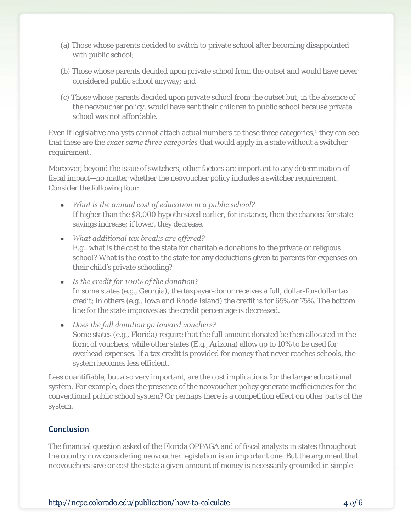- (a) Those whose parents decided to switch to private school after becoming disappointed with public school;
- (b) Those whose parents decided upon private school from the outset and would have never considered public school anyway; and
- (c) Those whose parents decided upon private school from the outset but, in the absence of the neovoucher policy, would have sent their children to public school because private school was not affordable.

Even if legislative analysts cannot attach actual numbers to these three categories,<sup>5</sup> they can see that these are the *exact same three categories* that would apply in a state without a switcher requirement.

Moreover, beyond the issue of switchers, other factors are important to any determination of fiscal impact—no matter whether the neovoucher policy includes a switcher requirement. Consider the following four:

- *What is the annual cost of education in a public school?*  If higher than the \$8,000 hypothesized earlier, for instance, then the chances for state savings increase; if lower, they decrease.
- *What additional tax breaks are offered?*  E.g., what is the cost to the state for charitable donations to the private or religious school? What is the cost to the state for any deductions given to parents for expenses on their child's private schooling?
- *Is the credit for 100% of the donation?*  In some states (e.g., Georgia), the taxpayer-donor receives a full, dollar-for-dollar tax credit; in others (e.g., Iowa and Rhode Island) the credit is for 65% or 75%. The bottom line for the state improves as the credit percentage is decreased.
- *Does the full donation go toward vouchers?*  Some states (e.g., Florida) require that the full amount donated be then allocated in the form of vouchers, while other states (E.g., Arizona) allow up to 10% to be used for overhead expenses. If a tax credit is provided for money that never reaches schools, the system becomes less efficient.

Less quantifiable, but also very important, are the cost implications for the larger educational system. For example, does the presence of the neovoucher policy generate inefficiencies for the conventional public school system? Or perhaps there is a competition effect on other parts of the system.

### **Conclusion**

The financial question asked of the Florida OPPAGA and of fiscal analysts in states throughout the country now considering neovoucher legislation is an important one. But the argument that neovouchers save or cost the state a given amount of money is necessarily grounded in simple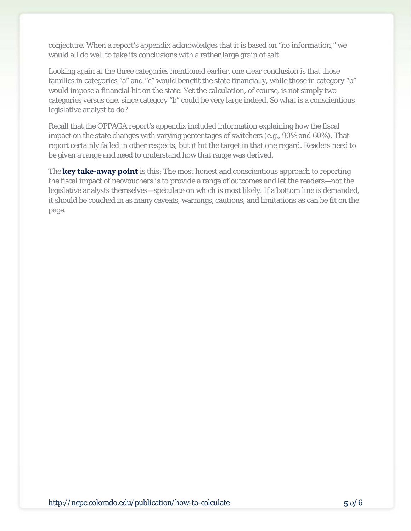conjecture. When a report's appendix acknowledges that it is based on "no information," we would all do well to take its conclusions with a rather large grain of salt.

Looking again at the three categories mentioned earlier, one clear conclusion is that those families in categories "a" and "c" would benefit the state financially, while those in category "b" would impose a financial hit on the state. Yet the calculation, of course, is not simply two categories versus one, since category "b" could be very large indeed. So what is a conscientious legislative analyst to do?

Recall that the OPPAGA report's appendix included information explaining how the fiscal impact on the state changes with varying percentages of switchers (e.g., 90% and 60%). That report certainly failed in other respects, but it hit the target in that one regard. Readers need to be given a range and need to understand how that range was derived.

The **key take-away point** is this: The most honest and conscientious approach to reporting the fiscal impact of neovouchers is to provide a range of outcomes and let the readers—not the legislative analysts themselves—speculate on which is most likely. If a bottom line is demanded, it should be couched in as many caveats, warnings, cautions, and limitations as can be fit on the page.